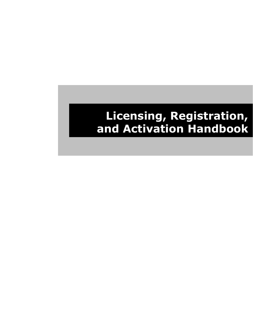# **Licensing, Registration, and Activation Handbook**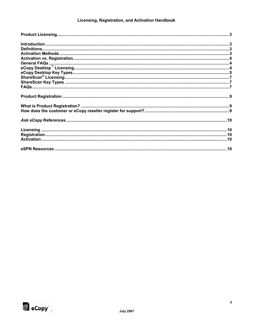## Licensing, Registration, and Activation Handbook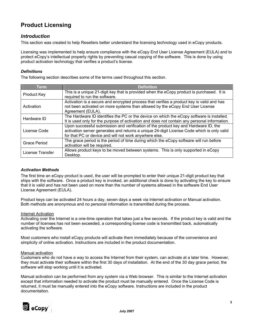# **Product Licensing**

## *Introduction*

This section was created to help Resellers better understand the licensing technology used in eCopy products.

Licensing was implemented to help ensure compliance with the eCopy End User License Agreement (EULA) and to protect eCopy's intellectual property rights by preventing casual copying of the software. This is done by using product activation technology that verifies a product's license.

## *Definitions*

The following section describes some of the terms used throughout this section.

| Term             | <b>Definition</b>                                                                                                                                                                                                                           |
|------------------|---------------------------------------------------------------------------------------------------------------------------------------------------------------------------------------------------------------------------------------------|
| Product Key      | This is a unique 21-digit key that is provided when the eCopy product is purchased. It is<br>required to run the software.                                                                                                                  |
| Activation       | Activation is a secure and encrypted process that verifies a product key is valid and has<br>not been activated on more systems than allowed by the eCopy End User License<br>Agreement (EULA).                                             |
| Hardware ID      | The Hardware ID identifies the PC or the device on which the eCopy software is installed.<br>It is used only for the purpose of activation and does not contain any personal information.                                                   |
| License Code     | Upon successful submission and verification of the product key and Hardware ID, the<br>activation server generates and returns a unique 24-digit License Code which is only valid<br>for that PC or device and will not work anywhere else. |
| Grace Period     | The grace period is the period of time during which the eCopy software will run before<br>activation will be required.                                                                                                                      |
| License Transfer | Allows product keys to be moved between systems. This is only supported in eCopy<br>Desktop.                                                                                                                                                |

## *Activation Methods*

The first time an eCopy product is used, the user will be prompted to enter their unique 21-digit product key that ships with the software. Once a product key is invoked, an additional check is done by activating the key to ensure that it is valid and has not been used on more than the number of systems allowed in the software End User License Agreement (EULA).

Product keys can be activated 24 hours a day, seven days a week via Internet activation or Manual activation. Both methods are anonymous and no personal information is transmitted during the process.

## Internet Activation

Activating over the Internet is a one-time operation that takes just a few seconds. If the product key is valid and the number of licenses has not been exceeded, a corresponding license code is transmitted back, automatically activating the software.

Most customers who install eCopy products will activate them immediately because of the convenience and simplicity of online activation. Instructions are included in the product documentation.

## Manual activation

Customers who do not have a way to access the Internet from their system, can activate at a later time. However, they must activate their software within the first 30 days of installation. At the end of the 30 day grace period, the software will stop working until it is activated.

Manual activation can be performed from any system via a Web browser. This is similar to the Internet activation except that information needed to activate the product must be manually entered. Once the License Code is returned, it must be manually entered into the eCopy software. Instructions are included in the product documentation.

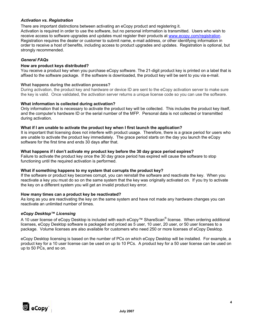## *Activation vs. Registration*

There are important distinctions between activating an eCopy product and registering it.

Activation is required in order to use the software, but no personal information is transmitted. Users who wish to receive access to software upgrades and updates must register their products at www.ecopy.com/registration. Registration requires the dealer or customer to submit name, e-mail address, or other identifying information in order to receive a host of benefits, including access to product upgrades and updates. Registration is optional, but strongly recommended.

## *General FAQs*

## **How are product keys distributed?**

You receive a product key when you purchase eCopy software. The 21-digit product key is printed on a label that is affixed to the software package. If the software is downloaded, the product key will be sent to you via e-mail.

### **What happens during the activation process?**

During activation, the product key and hardware or device ID are sent to the eCopy activation server to make sure the key is valid. Once validated, the activation server returns a unique license code so you can use the software.

### **What information is collected during activation?**

Only information that is necessary to activate the product key will be collected. This includes the product key itself, and the computer's hardware ID or the serial number of the MFP. Personal data is not collected or transmitted during activation.

### **What if I am unable to activate the product key when I first launch the application?**

It is important that licensing does not interfere with product usage. Therefore, there is a grace period for users who are unable to activate the product key immediately. The grace period starts on the day you launch the eCopy software for the first time and ends 30 days after that.

### **What happens if I don't activate my product key before the 30 day grace period expires?**

Failure to activate the product key once the 30 day grace period has expired will cause the software to stop functioning until the required activation is performed.

## **What if something happens to my system that corrupts the product key?**

If the software or product key becomes corrupt, you can reinstall the software and reactivate the key. When you reactivate a key you must do so on the same system that the key was originally activated on. If you try to activate the key on a different system you will get an invalid product key error.

## **How many times can a product key be reactivated?**

As long as you are reactivating the key on the same system and have not made any hardware changes you can reactivate an unlimited number of times.

## *eCopy Desktop™ Licensing*

A 10 user license of eCopy Desktop is included with each eCopy™ ShareScan® license. When ordering additional licenses, eCopy Desktop software is packaged and priced as 5 user, 10 user, 20 user, or 50 user licenses to a package. Volume licenses are also available for customers who need 250 or more licenses of eCopy Desktop.

eCopy Desktop licensing is based on the number of PCs on which eCopy Desktop will be installed. For example, a product key for a 10 user license can be used on up to 10 PCs. A product key for a 50 user license can be used on up to 50 PCs, and so on.

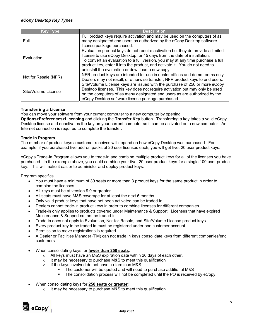## *eCopy Desktop Key Types*

| <b>Key Type</b>      | <b>Description</b>                                                                                                                                                                                                                                                                                                                                                               |
|----------------------|----------------------------------------------------------------------------------------------------------------------------------------------------------------------------------------------------------------------------------------------------------------------------------------------------------------------------------------------------------------------------------|
| Full                 | Full product keys require activation and may be used on the computers of as<br>many designated end users as authorized by the eCopy Desktop software<br>license package purchased.                                                                                                                                                                                               |
| Evaluation           | Evaluation product keys do not require activation but they do provide a limited<br>license to use eCopy Desktop for 45 days from the date of installation.<br>To convert an evaluation to a full version, you may at any time purchase a full<br>product key, enter it into the product, and activate it. You do not need to<br>uninstall the evaluation or download a new copy. |
| Not for Resale (NFR) | NFR product keys are intended for use in dealer offices and demo rooms only.<br>Dealers may not resell, or otherwise transfer, NFR product keys to end users.                                                                                                                                                                                                                    |
| Site/Volume License  | Site/Volume License keys are issued with the purchase of 250 or more eCopy<br>Desktop licenses. This key does not require activation but may only be used<br>on the computers of as many designated end users as are authorized by the<br>eCopy Desktop software license package purchased.                                                                                      |

## **Transferring a License**

You can move your software from your current computer to a new computer by opening

**Options>Preferences>Licensing** and clicking the **Transfer Key** button. Transferring a key takes a valid eCopy Desktop license and deactivates the key on your current computer so it can be activated on a new computer. An Internet connection is required to complete the transfer.

### **Trade In Program**

The number of product keys a customer receives will depend on how eCopy Desktop was purchased. For example, if you purchased five add-on packs of 20 user licenses each, you will get five, 20 user product keys.

eCopy's Trade-in Program allows you to trade-in and combine multiple product keys for all of the licenses you have purchased. In the example above, you could combine your five, 20 user product keys for a single 100 user product key. This will make it easier to administer and deploy product keys.

#### Program specifics

- You must have a minimum of 30 seats or more than 3 product keys for the same product in order to combine the licenses.
- All keys must be at version 9.0 or greater.
- All seats must have M&S coverage for at least the next 6 months.
- Only valid product keys that have not been activated can be traded-in.
- Dealers cannot trade-in product keys in order to combine licenses for different companies.
- Trade-in only applies to products covered under Maintenance & Support. Licenses that have expired Maintenance & Support cannot be traded-in.
- Trade-in does not apply to Evaluation, Not-for-Resale, and Site/Volume License product keys.
- Every product key to be traded in must be registered under one customer account.
- Permission to move registrations is required.
- A Dealer or Facilities Manager (FM) can not trade in keys consolidate keys from different companies/end customers.
- When consolidating keys for **fewer than 250 seats**:
	- o All keys must have an M&S expiration date within 20 days of each other.
	- o It may be necessary to purchase M&S to meet this qualification
	- o If the keys involved do not have co-terminus M&S:
		- The customer will be quoted and will need to purchase additional M&S
		- The consolidation process will not be completed until the PO is received by eCopy.
- When consolidating keys for **250 seats or greater**:
	- o It may be necessary to purchase M&S to meet this qualification.

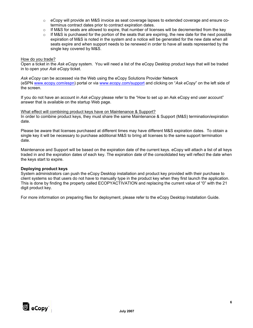- $\circ$  eCopy will provide an M&S invoice as seat coverage lapses to extended coverage and ensure coterminus contract dates prior to contract expiration dates.
- $\circ$  If M&S for seats are allowed to expire, that number of licenses will be decremented from the key
- $\circ$  If M&S is purchased for the portion of the seats that are expiring, the new date for the next possible expiration of M&S is noted in the system and a notice will be generated for the new date when all seats expire and when support needs to be renewed in order to have all seats represented by the single key covered by M&S.

## How do you trade?

Open a ticket in the *Ask eCopy* system. You will need a list of the eCopy Desktop product keys that will be traded in to open your *Ask eCopy* ticket.

*Ask eCopy* can be accessed via the Web using the eCopy Solutions Provider Network (eSPN www.ecopy.com/espn) portal or via www.ecopy.com/support and clicking on "*Ask eCopy*" on the left side of the screen.

If you do not have an account in *Ask eCopy* please refer to the "How to set up an Ask eCopy end user account" answer that is available on the startup Web page.

## What effect will combining product keys have on Maintenance & Support?

In order to combine product keys, they must share the same Maintenance & Support (M&S) termination/expiration date.

Please be aware that licenses purchased at different times may have different M&S expiration dates. To obtain a single key it will be necessary to purchase additional M&S to bring all licenses to the same support termination date.

Maintenance and Support will be based on the expiration date of the current keys. eCopy will attach a list of all keys traded in and the expiration dates of each key. The expiration date of the consolidated key will reflect the date when the keys start to expire.

## **Deploying product keys**

System administrators can push the eCopy Desktop installation and product key provided with their purchase to client systems so that users do not have to manually type in the product key when they first launch the application. This is done by finding the property called ECOPYACTIVATION and replacing the current value of "0" with the 21 digit product key.

For more information on preparing files for deployment, please refer to the eCopy Desktop Installation Guide.

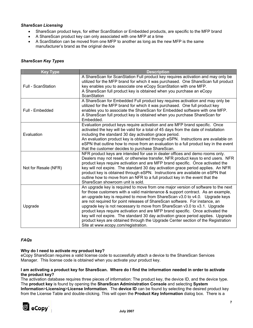## *ShareScan Licensing*

- ShareScan product keys, for either ScanStation or Embedded products, are specific to the MFP brand
- A ShareScan product key can only associated with one MFP at a time
- A ScanStation can be moved from one MFP to another as long as the new MFP is the same manufacturer's brand as the original device

| <b>Key Type</b>           | <b>Description</b>                                                                                                                                                                                                                                                                                                                                                                                                                                                                                                                                                                                                                                                                                                 |
|---------------------------|--------------------------------------------------------------------------------------------------------------------------------------------------------------------------------------------------------------------------------------------------------------------------------------------------------------------------------------------------------------------------------------------------------------------------------------------------------------------------------------------------------------------------------------------------------------------------------------------------------------------------------------------------------------------------------------------------------------------|
| <b>Full - ScanStation</b> | A ShareScan for ScanStation Full product key requires activation and may only be<br>utilized for the MFP brand for which it was purchased. One ShareScan full product<br>key enables you to associate one eCopy ScanStation with one MFP.<br>A ShareScan full product key is obtained when you purchase an eCopy<br>ScanStation                                                                                                                                                                                                                                                                                                                                                                                    |
| Full - Embedded           | A ShareScan for Embedded Full product key requires activation and may only be<br>utilized for the MFP brand for which it was purchased. One full product key<br>enables you to associate the ShareScan for Embedded software with one MFP.<br>A ShareScan full product key is obtained when you purchase ShareScan for<br>Embedded.                                                                                                                                                                                                                                                                                                                                                                                |
| Evaluation                | Evaluation product keys require activation and are MFP brand specific. Once<br>activated the key will be valid for a total of 45 days from the date of installation<br>including the standard 30 day activation grace period.<br>An evaluation product key is obtained through eSPN. Instructions are available on<br>eSPN that outline how to move from an evaluation to a full product key in the event<br>that the customer decides to purchase ShareScan.                                                                                                                                                                                                                                                      |
| Not for Resale (NFR)      | NFR product keys are intended for use in dealer offices and demo rooms only.<br>Dealers may not resell, or otherwise transfer, NFR product keys to end users. NFR<br>product keys require activation and are MFP brand specific. Once activated the<br>key will not expire. The standard 30 day activation grace period applies. An NFR<br>product key is obtained through eSPN. Instructions are available on eSPN that<br>outline how to move from an NFR to a full product key in the event that the<br>ShareScan showroom unit is sold.                                                                                                                                                                        |
| Upgrade                   | An upgrade key is required to move from one major version of software to the next<br>for those customers with a valid maintenance & support contract. As an example,<br>an upgrade key is required to move from ShareScan v3.0 to v4.0. Upgrade keys<br>are not required for point releases of ShareScan software. For instance, an<br>upgrade key is not necessary to move from ShareScan v3.0 to v3.1. Upgrade<br>product keys require activation and are MFP brand specific. Once activated the<br>key will not expire. The standard 30 day activation grace period applies. Upgrade<br>product keys are obtained through the Upgrade Center section of the Registration<br>Site at www.ecopy.com/registration. |

## *FAQs*

## **Why do I need to activate my product key?**

eCopy ShareScan requires a valid license code to successfully attach a device to the ShareScan Services Manager. This license code is obtained when you activate your product key.

## **I am activating a product key for ShareScan. Where do I find the information needed in order to activate the product key?**

The activation database requires three pieces of information: The product key, the device ID, and the device type. The **product key** is found by opening the **ShareScan Administration Console** and selecting **System Information**>**Licensing**>**License Information**. The **device ID** can be found by selecting the desired product key from the License Table and double-clicking. This will open the **Product Key Information** dialog box. There is a

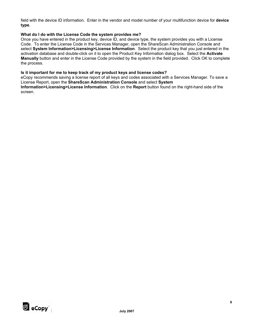field with the device ID information. Enter in the vendor and model number of your multifunction device for **device type**.

## **What do I do with the License Code the system provides me?**

Once you have entered in the product key, device ID, and device type, the system provides you with a License Code. To enter the License Code in the Services Manager, open the ShareScan Administration Console and select **System Information>Licensing>License Information**. Select the product key that you just entered in the activation database and double-click on it to open the Product Key Information dialog box. Select the **Activate Manually** button and enter in the License Code provided by the system in the field provided. Click OK to complete the process.

## **Is it important for me to keep track of my product keys and license codes?**

eCopy recommends saving a license report of all keys and codes associated with a Services Manager. To save a License Report, open the **ShareScan Administration Console** and select **System** 

**Information>Licensing>License Information**. Click on the **Report** button found on the right-hand side of the screen.

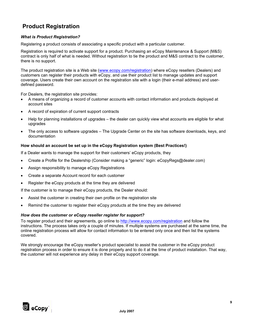# **Product Registration**

## *What is Product Registration?*

Registering a product consists of associating a specific product with a particular customer.

Registration is required to activate support for a product. Purchasing an eCopy Maintenance & Support (M&S) contract is only half of what is needed. Without registration to tie the product and M&S contract to the customer, there is no support.

The product registration site is a Web site (www.ecopy.com/registration) where eCopy resellers (Dealers) and customers can register their products with eCopy, and use their product list to manage updates and support coverage. Users create their own account on the registration site with a login (their e-mail address) and userdefined password.

For Dealers, the registration site provides:

- A means of organizing a record of customer accounts with contact information and products deployed at account sites
- A record of expiration of current support contracts
- Help for planning installations of upgrades the dealer can quickly view what accounts are eligible for what upgrades
- The only access to software upgrades The Upgrade Center on the site has software downloads, keys, and documentation

## **How should an account be set up in the eCopy Registration system (Best Practices!)**

If a Dealer wants to manage the support for their customers' eCopy products, they

- Create a Profile for the Dealership (Consider making a "generic" login: eCopyRegs@dealer.com)
- Assign responsibility to manage eCopy Registrations
- Create a separate Account record for each customer
- Register the eCopy products at the time they are delivered

If the customer is to manage their eCopy products, the Dealer should:

- Assist the customer in creating their own profile on the registration site
- Remind the customer to register their eCopy products at the time they are delivered

## *How does the customer or eCopy reseller register for support?*

To register product and their agreements, go online to http://www.ecopy.com/registration and follow the instructions. The process takes only a couple of minutes. If multiple systems are purchased at the same time, the online registration process will allow for contact information to be entered only once and then list the systems covered.

We strongly encourage the eCopy reseller's product specialist to assist the customer in the eCopy product registration process in order to ensure it is done properly and to do it at the time of product installation. That way, the customer will not experience any delay in their eCopy support coverage.

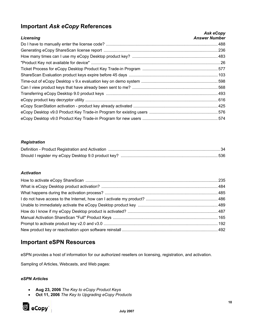# **Important** *Ask eCopy* **References**

|                  | Ask eCopy            |
|------------------|----------------------|
| <b>Licensing</b> | <b>Answer Number</b> |
|                  |                      |
|                  |                      |
|                  |                      |
|                  |                      |
|                  |                      |
|                  |                      |
|                  |                      |
|                  |                      |
|                  |                      |
|                  |                      |
|                  |                      |
|                  |                      |
|                  |                      |

## *Registration*

## *Activation*

## **Important eSPN Resources**

eSPN provides a host of information for our authorized resellers on licensing, registration, and activation.

Sampling of Articles, Webcasts, and Web pages:

## *eSPN Articles*

- **Aug 23, 2006** *The Key to eCopy Product Keys*
- **Oct 11, 2006** *The Key to Upgrading eCopy Products*